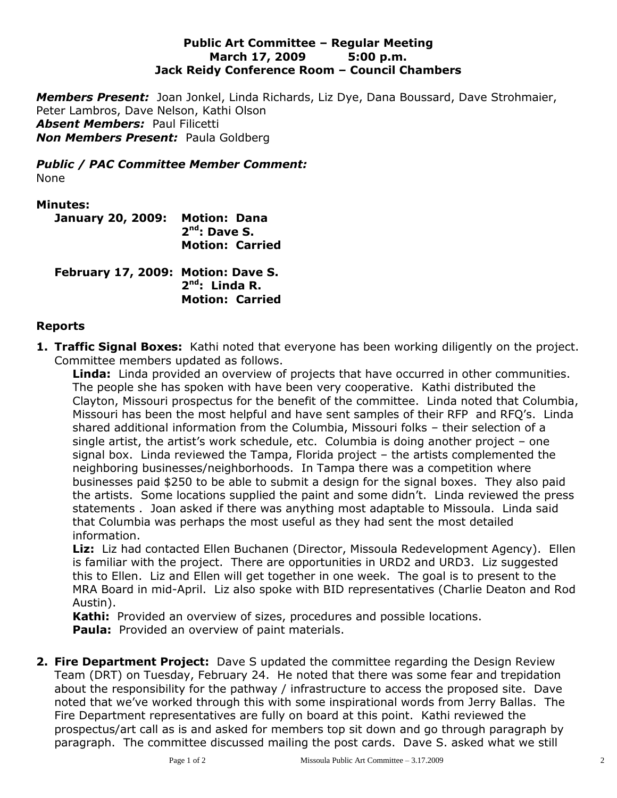### **Public Art Committee – Regular Meeting March 17, 2009 5:00 p.m. Jack Reidy Conference Room – Council Chambers**

*Members Present:* Joan Jonkel, Linda Richards, Liz Dye, Dana Boussard, Dave Strohmaier, Peter Lambros, Dave Nelson, Kathi Olson *Absent Members:* Paul Filicetti *Non Members Present:* Paula Goldberg

*Public / PAC Committee Member Comment:* None

### **Minutes:**

| January 20, 2009: Motion: Dana | $2nd$ : Dave S.        |
|--------------------------------|------------------------|
|                                | <b>Motion: Carried</b> |

**February 17, 2009: Motion: Dave S. 2 nd: Linda R. Motion: Carried**

### **Reports**

**1. Traffic Signal Boxes:** Kathi noted that everyone has been working diligently on the project. Committee members updated as follows.

**Linda:** Linda provided an overview of projects that have occurred in other communities. The people she has spoken with have been very cooperative. Kathi distributed the Clayton, Missouri prospectus for the benefit of the committee. Linda noted that Columbia, Missouri has been the most helpful and have sent samples of their RFP and RFQ's. Linda shared additional information from the Columbia, Missouri folks – their selection of a single artist, the artist's work schedule, etc. Columbia is doing another project – one signal box. Linda reviewed the Tampa, Florida project – the artists complemented the neighboring businesses/neighborhoods. In Tampa there was a competition where businesses paid \$250 to be able to submit a design for the signal boxes. They also paid the artists. Some locations supplied the paint and some didn't. Linda reviewed the press statements . Joan asked if there was anything most adaptable to Missoula. Linda said that Columbia was perhaps the most useful as they had sent the most detailed information.

**Liz:** Liz had contacted Ellen Buchanen (Director, Missoula Redevelopment Agency). Ellen is familiar with the project. There are opportunities in URD2 and URD3. Liz suggested this to Ellen. Liz and Ellen will get together in one week. The goal is to present to the MRA Board in mid-April. Liz also spoke with BID representatives (Charlie Deaton and Rod Austin).

**Kathi:** Provided an overview of sizes, procedures and possible locations.

**Paula:** Provided an overview of paint materials.

**2. Fire Department Project:** Dave S updated the committee regarding the Design Review Team (DRT) on Tuesday, February 24. He noted that there was some fear and trepidation about the responsibility for the pathway / infrastructure to access the proposed site. Dave noted that we've worked through this with some inspirational words from Jerry Ballas. The Fire Department representatives are fully on board at this point. Kathi reviewed the prospectus/art call as is and asked for members top sit down and go through paragraph by paragraph. The committee discussed mailing the post cards. Dave S. asked what we still